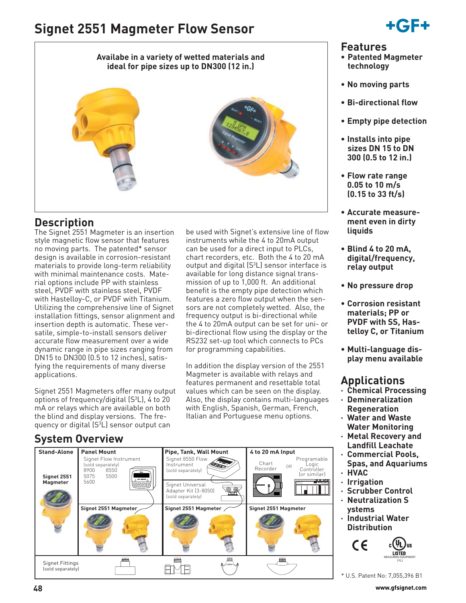# **Signet 2551 Magmeter Flow Sensor**



## **Features**

- **Patented Magmeter technology**
- **No moving parts**
- **Bi-directional flow**
- **Empty pipe detection**
- **Installs into pipe sizes DN 15 to DN 300 (0.5 to 12 in.)**
- **Flow rate range 0.05 to 10 m/s (0.15 to 33 ft/s)**
- **ment even in dirty liquids**
- **Blind 4 to 20 mA, digital/frequency, relay output**
- **No pressure drop**
- **Corrosion resistant materials; PP or PVDF with SS, Has-**
- **Multi-language display menu available**

- **· Chemical Processing**
- **· Demineralization Regeneration**
- **· Water and Waste Water Monitoring**
- **· Metal Recovery and Landfill Leachate**
- **· Commercial Pools, Spas, and Aquariums · HVAC**
- **· Irrigation**
- 
- **· Neutralization S ystems**
- **· Industrial Water Distribution**



- 
- 
- 
- 
- **Accurate measure-**
- 
- 
- **telloy C, or Titanium**
- 

## **Applications**

- 
- 
- 
- 
- 
- **· Scrubber Control**
- 
- 



## **Availabe in a variety of wetted materials and ideal for pipe sizes up to DN300 (12 in.)**



be used with Signet's extensive line of flow instruments while the 4 to 20mA output can be used for a direct input to PLCs, chart recorders, etc. Both the 4 to 20 mA output and digital  $(S^3L)$  sensor interface is available for long distance signal transmission of up to 1,000 ft. An additional benefit is the empty pipe detection which features a zero flow output when the sensors are not completely wetted. Also, the frequency output is bi-directional while the 4 to 20mA output can be set for uni- or bi-directional flow using the display or the RS232 set-up tool which connects to PCs

for programming capabilities.

In addition the display version of the 2551 Magmeter is available with relays and features permanent and resettable total values which can be seen on the display. Also, the display contains multi-languages with English, Spanish, German, French, Italian and Portuguese menu options.

## **Description**

The Signet 2551 Magmeter is an insertion style magnetic flow sensor that features no moving parts. The patented\* sensor design is available in corrosion-resistant materials to provide long-term reliability with minimal maintenance costs. Material options include PP with stainless steel, PVDF with stainless steel, PVDF with Hastelloy-C, or PVDF with Titanium. Utilizing the comprehensive line of Signet installation fittings, sensor alignment and insertion depth is automatic. These versatile, simple-to-install sensors deliver accurate flow measurement over a wide dynamic range in pipe sizes ranging from DN15 to DN300 (0.5 to 12 inches), satisfying the requirements of many diverse applications.

Signet 2551 Magmeters offer many output options of frequency/digital (S3 L), 4 to 20 mA or relays which are available on both the blind and display versions. The frequency or digital (S<sup>3</sup>L) sensor output can

## **System Overview**

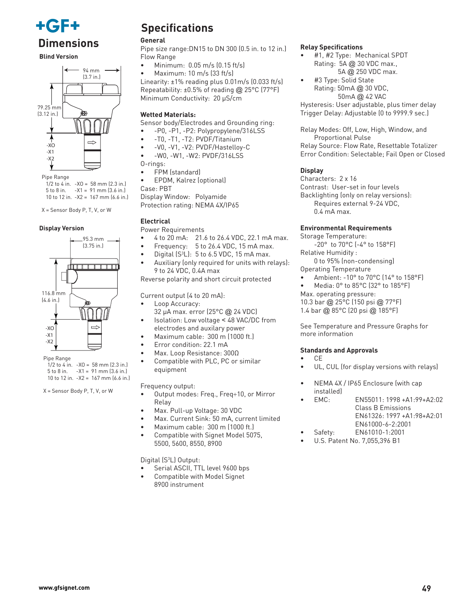

**Blind Version**



 $1/2$  to 4 in.  $-XO = 58$  mm (2.3 in.) 5 to 8 in.  $-X1 = 91$  mm  $(3.6)$  in.) 10 to 12 in. -X2 = 167 mm (6.6 in.)

X = Sensor Body P, T, V, or W

#### **Display Version**



Pipe Range  $1/2$  to 4 in.  $-XO = 58$  mm (2.3 in.) 5 to 8 in.  $-X1 = 91$  mm  $(3.6 \text{ in.})$ 10 to 12 in. -X2 = 167 mm (6.6 in.)

X = Sensor Body P, T, V, or W

## **Specifications**

#### **General**

**Dimensions** General **Proped Senson Senson Senson Senson Sensians** Pipe size range:DN15 to DN 300 (0.5 in. to 12 in.) Relay Specifications Flow Range

- Minimum: 0.05 m/s (0.15 ft/s)
- Maximum: 10 m/s (33 ft/s)

Linearity: ±1% reading plus 0.01m/s (0.033 ft/s) Repeatability: ±0.5% of reading @ 25°C (77°F) Minimum Conductivity: 20 µS/cm

### **Wetted Materials:**

Sensor body/Electrodes and Grounding ring:

- -P0, -P1, -P2: Polypropylene/316LSS
- -T0, -T1, -T2: PVDF/Titanium
- -V0, -V1, -V2: PVDF/Hastelloy-C
	- -W0, -W1, -W2: PVDF/316LSS
- O-rings: • FPM (standard)
- EPDM, Kalrez (optional)
- Case: PBT

Display Window: Polyamide Protection rating: NEMA 4X/IP65

### **Electrical**

Power Requirements

- 4 to 20 mA: 21.6 to 26.4 VDC, 22.1 mA max.
- Frequency: 5 to 26.4 VDC, 15 mA max.
- Digital  $(S^3L)$ : 5 to 6.5 VDC, 15 mA max.
- Auxiliary (only required for units with relays): 9 to 24 VDC, 0.4A max

Reverse polarity and short circuit protected

Current output (4 to 20 mA):

- Loop Accuracy:
- 32 µA max. error (25°C @ 24 VDC)
- Isolation: Low voltage < 48 VAC/DC from electrodes and auxilary power
- Maximum cable: 300 m (1000 ft.)
- Error condition: 22.1 mA
- Max. Loop Resistance: 300Ω
- Compatible with PLC, PC or similar equipment

#### Frequency output:

- Output modes: Freq., Freq÷10, or Mirror Relay
- Max. Pull-up Voltage: 30 VDC
- Max. Current Sink: 50 mA, current limited
- Maximum cable: 300 m (1000 ft.)
- Compatible with Signet Model 5075, 5500, 5600, 8550, 8900

Digital (S3 L) Output:

- Serial ASCII, TTL level 9600 bps
- Compatible with Model Signet 8900 instrument

- #1, #2 Type: Mechanical SPDT Rating: 5A @ 30 VDC max., 5A @ 250 VDC max.
- #3 Type: Solid State Rating: 50mA @ 30 VDC, 50mA @ 42 VAC

Hysteresis: User adjustable, plus timer delay Trigger Delay: Adjustable (0 to 9999.9 sec.)

Relay Modes: Off, Low, High, Window, and Proportional Pulse

Relay Source: Flow Rate, Resettable Totalizer Error Condition: Selectable; Fail Open or Closed

### **Display**

Characters: 2 x 16 Contrast: User-set in four levels Backlighting (only on relay versions): Requires external 9-24 VDC, 0.4 mA max.

#### **Environmental Requirements**

- Storage Temperature:
- -20° to 70°C (-4° to 158°F) Relative Humidity :
- 0 to 95% (non-condensing)

Operating Temperature

- Ambient: -10° to 70°C (14° to 158°F)
- Media: 0° to 85°C (32° to 185°F)
- Max. operating pressure:

10.3 bar @ 25°C (150 psi @ 77°F)

1.4 bar @ 85°C (20 psi @ 185°F)

See Temperature and Pressure Graphs for more information

### **Standards and Approvals**

- CE
	- UL, CUL (for display versions with relays)
	- NEMA 4X / IP65 Enclosure (with cap installed)
		- EMC: EN55011: 1998 +A1:99+A2:02 Class B Emissions EN61326: 1997 +A1:98+A2:01 EN61000-6-2:2001
	- Safety: EN61010-1:2001
	- U.S. Patent No. 7,055,396 B1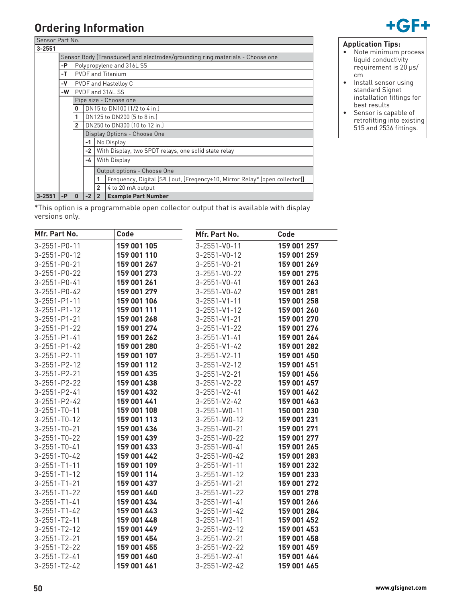

# **Ordering Information**

|            | Sensor Part No. |                                                                               |                                                  |                                                      |                                                                                          |  |  |  |
|------------|-----------------|-------------------------------------------------------------------------------|--------------------------------------------------|------------------------------------------------------|------------------------------------------------------------------------------------------|--|--|--|
| $3 - 2551$ |                 |                                                                               |                                                  |                                                      |                                                                                          |  |  |  |
|            |                 | Sensor Body (Transducer) and electrodes/grounding ring materials - Choose one |                                                  |                                                      |                                                                                          |  |  |  |
|            | -P              |                                                                               | Polypropylene and 316L SS                        |                                                      |                                                                                          |  |  |  |
|            | $-T$            |                                                                               | <b>PVDF</b> and Titanium<br>PVDF and Hastelloy C |                                                      |                                                                                          |  |  |  |
|            | -V              |                                                                               |                                                  |                                                      |                                                                                          |  |  |  |
|            | -W              |                                                                               |                                                  | PVDF and 316L SS                                     |                                                                                          |  |  |  |
|            |                 |                                                                               |                                                  | Pipe size - Choose one                               |                                                                                          |  |  |  |
|            |                 | $\mathbf{0}$                                                                  |                                                  | DN15 to DN100 (1/2 to 4 in.)                         |                                                                                          |  |  |  |
|            |                 | 1                                                                             |                                                  | DN125 to DN200 (5 to 8 in.)                          |                                                                                          |  |  |  |
|            |                 | $\overline{2}$                                                                |                                                  |                                                      | DN250 to DN300 (10 to 12 in.)                                                            |  |  |  |
|            |                 |                                                                               |                                                  |                                                      | Display Options - Choose One                                                             |  |  |  |
|            |                 |                                                                               | -1                                               | No Display                                           |                                                                                          |  |  |  |
|            |                 |                                                                               | $-2$                                             | With Display, two SPDT relays, one solid state relay |                                                                                          |  |  |  |
|            |                 |                                                                               | -4                                               | With Display                                         |                                                                                          |  |  |  |
|            |                 |                                                                               |                                                  | Output options - Choose One                          |                                                                                          |  |  |  |
|            |                 |                                                                               |                                                  | 1                                                    | Frequency, Digital (S <sup>3</sup> L) out, [Freqency÷10, Mirror Relay* (open collector]] |  |  |  |
|            |                 |                                                                               |                                                  | $\overline{2}$                                       | 4 to 20 mA output                                                                        |  |  |  |
| $3 - 2551$ | $-P$            | $\mathbf{0}$                                                                  | $-2$                                             | $\overline{2}$                                       | <b>Example Part Number</b>                                                               |  |  |  |

• Note minimum process liquid conductivity requirement is 20 µs/ cm • Install sensor using standard Signet installation fittings for best results

**Application Tips:**

• Sensor is capable of retrofitting into existing 515 and 2536 fittings.

\*This option is a programmable open collector output that is available with display versions only.

| Mfr. Part No.        | Code        | Mfr. Part No.        | Code        |
|----------------------|-------------|----------------------|-------------|
| $3 - 2551 - P0 - 11$ | 159 001 105 | $3 - 2551 - V0 - 11$ | 159 001 257 |
| 3-2551-P0-12         | 159 001 110 | 3-2551-V0-12         | 159 001 259 |
| 3-2551-P0-21         | 159 001 267 | 3-2551-V0-21         | 159 001 269 |
| 3-2551-P0-22         | 159 001 273 | 3-2551-V0-22         | 159 001 275 |
| 3-2551-P0-41         | 159 001 261 | $3 - 2551 - V0 - 41$ | 159 001 263 |
| 3-2551-P0-42         | 159 001 279 | 3-2551-V0-42         | 159 001 281 |
| $3 - 2551 - P1 - 11$ | 159 001 106 | $3 - 2551 - V1 - 11$ | 159 001 258 |
| $3 - 2551 - P1 - 12$ | 159 001 111 | $3 - 2551 - V1 - 12$ | 159 001 260 |
| $3 - 2551 - P1 - 21$ | 159 001 268 | $3 - 2551 - V1 - 21$ | 159 001 270 |
| $3 - 2551 - P1 - 22$ | 159 001 274 | $3 - 2551 - V1 - 22$ | 159 001 276 |
| $3 - 2551 - P1 - 41$ | 159 001 262 | $3 - 2551 - V1 - 41$ | 159 001 264 |
| $3 - 2551 - P1 - 42$ | 159 001 280 | $3 - 2551 - V1 - 42$ | 159 001 282 |
| 3-2551-P2-11         | 159 001 107 | $3 - 2551 - V2 - 11$ | 159 001 450 |
| 3-2551-P2-12         | 159 001 112 | $3 - 2551 - V2 - 12$ | 159 001 451 |
| 3-2551-P2-21         | 159 001 435 | $3 - 2551 - V2 - 21$ | 159 001 456 |
| 3-2551-P2-22         | 159 001 438 | $3 - 2551 - V2 - 22$ | 159 001 457 |
| 3-2551-P2-41         | 159 001 432 | $3 - 2551 - V2 - 41$ | 159 001 462 |
| 3-2551-P2-42         | 159 001 441 | $3 - 2551 - V2 - 42$ | 159 001 463 |
| $3 - 2551 - T0 - 11$ | 159 001 108 | 3-2551-W0-11         | 150 001 230 |
| $3 - 2551 - T0 - 12$ | 159 001 113 | 3-2551-W0-12         | 159 001 231 |
| $3 - 2551 - T0 - 21$ | 159 001 436 | 3-2551-W0-21         | 159 001 271 |
| $3 - 2551 - T0 - 22$ | 159 001 439 | 3-2551-W0-22         | 159 001 277 |
| $3 - 2551 - T0 - 41$ | 159 001 433 | $3 - 2551 - W0 - 41$ | 159 001 265 |
| $3 - 2551 - T0 - 42$ | 159 001 442 | 3-2551-W0-42         | 159 001 283 |
| $3 - 2551 - T1 - 11$ | 159 001 109 | $3 - 2551 - W1 - 11$ | 159 001 232 |
| $3 - 2551 - T1 - 12$ | 159 001 114 | $3 - 2551 - W1 - 12$ | 159 001 233 |
| $3 - 2551 - T1 - 21$ | 159 001 437 | $3 - 2551 - W1 - 21$ | 159 001 272 |
| $3 - 2551 - T1 - 22$ | 159 001 440 | $3 - 2551 - W1 - 22$ | 159 001 278 |
| $3 - 2551 - T1 - 41$ | 159 001 434 | $3 - 2551 - W1 - 41$ | 159 001 266 |
| $3 - 2551 - T1 - 42$ | 159 001 443 | $3 - 2551 - W1 - 42$ | 159 001 284 |
| $3 - 2551 - T2 - 11$ | 159 001 448 | $3 - 2551 - W2 - 11$ | 159 001 452 |
| $3 - 2551 - T2 - 12$ | 159 001 449 | $3 - 2551 - W2 - 12$ | 159 001 453 |
| $3 - 2551 - T2 - 21$ | 159 001 454 | $3 - 2551 - W2 - 21$ | 159 001 458 |
| $3 - 2551 - T2 - 22$ | 159 001 455 | 3-2551-W2-22         | 159 001 459 |
| $3 - 2551 - T2 - 41$ | 159 001 460 | $3 - 2551 - W2 - 41$ | 159 001 464 |
| $3 - 2551 - T2 - 42$ | 159 001 461 | $3 - 2551 - W2 - 42$ | 159 001 465 |